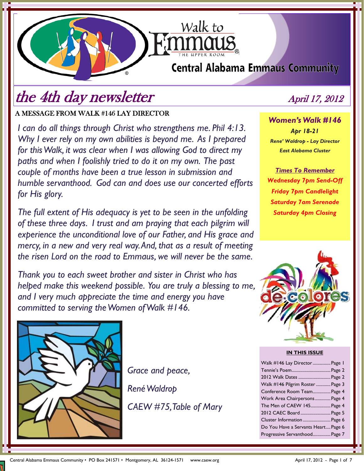# **Central Alabama Emmaus Community**

Walk to

# the 4th day newsletter April 17, 2012

A MESSAGE FROM WALK #146 LAY DIRECTOR

*I can do all things through Christ who strengthens me. Phil 4:13. Why I ever rely on my own abilities is beyond me. As I prepared for this Walk, it was clear when I was allowing God to direct my paths and when I foolishly tried to do it on my own. The past couple of months have been a true lesson in submission and humble servanthood. God can and does use our concerted efforts for His glory.* 

*The full extent of His adequacy is yet to be seen in the unfolding of these three days. I trust and am praying that each pilgrim will experience the unconditional love of our Father, and His grace and mercy, in a new and very real way. And, that as a result of meeting the risen Lord on the road to Emmaus, we will never be the same.* 

*Thank you to each sweet brother and sister in Christ who has helped make this weekend possible. You are truly a blessing to me, and I very much appreciate the time and energy you have committed to serving the Women of Walk #146.* 



*Grace and peace, René Waldrop CAEW #75, Table of Mary*

*Women's Walk #146 Apr 18-21 Rene' Waldrop - Lay Director East Alabama Cluster* 

*Times To Remember Wednesday 7pm Send-Off Friday 7pm Candlelight Saturday 7am Serenade Saturday 4pm Closing*



#### **IN THIS ISSUE**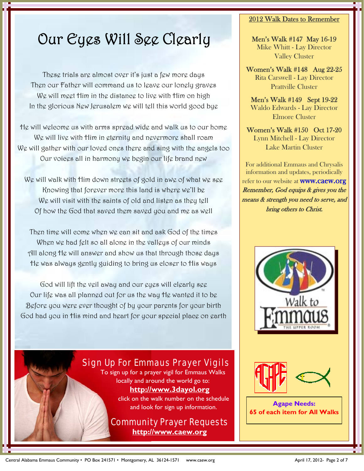# Our Eyes Will See Clearly

These trials are almost over it's just a few more days Then our Father will command us to leave our lonely graves We will meet Him in the distance to live with Him on high In the glorious New Jerusalem we will tell this world good bye

He will welcome us with arms spread wide and walk us to our home We will live with Him in eternity and nevermore shall roam We will gather with our loved ones there and sing with the angels too Our voices all in harmony we begin our life brand new

We will walk with Him down streets of gold in awe of what we see Knowing that forever more this land is where we'll be We will visit with the saints of old and listen as they tell Of how the God that saved them saved you and me as well

Then time will come when we can sit and ask God of the times When we had felt so all alone in the valleys of our minds All along He will answer and show us that through those days He was always gently guiding to bring us closer to His ways

God will lift the veil away and our eyes will clearly see Our life was all planned out for us the way He wanted it to be Before you were ever thought of by your parents for your birth God had you in His mind and heart for your special place on earth

## Sign Up For Emmaus Prayer Vigils To sign up for a prayer vigil for Emmaus Walks

locally and around the world go to: **http://www.3dayol.org**

click on the walk number on the schedule and look for sign up information.

Community Prayer Requests **http://www.caew.org**

## 2012 Walk Dates to Remember

Men's Walk #147 May 16-19 Mike Whitt - Lay Director Valley Cluster

Women's Walk #148 Aug 22-25 Rita Carswell - Lay Director Prattville Cluster

Men's Walk #149 Sept 19-22 Waldo Edwards - Lay Director Elmore Cluster

Women's Walk #150 Oct 17-20 Lynn Mitchell - Lay Director Lake Martin Cluster

For additional Emmaus and Chrysalis information and updates, periodically refer to our website at **WWW.CaeW.Org** Remember, God equips & gives you the means & strength you need to serve, and bring others to Christ.



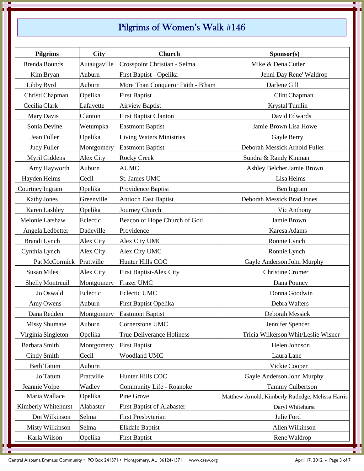# Pilgrims of Women's Walk #146

| <b>Pilgrims</b>     |                      | <b>City</b>  | <b>Church</b>                     | Sponsor(s)                                        |  |
|---------------------|----------------------|--------------|-----------------------------------|---------------------------------------------------|--|
|                     | <b>Brenda</b> Bounds | Autaugaville | Crosspoint Christian - Selma      | Mike & DenaCutler                                 |  |
|                     | KimBryan             | Auburn       | First Baptist - Opelika           | Jenni Day Rene' Waldrop                           |  |
| Libby Byrd          |                      | Auburn       | More Than Conqueror Faith - B'ham | Darlene Gill                                      |  |
|                     | Christi Chapman      | Opelika      | <b>First Baptist</b>              | Clint Chapman                                     |  |
| Cecilia Clark       |                      | Lafayette    | <b>Airview Baptist</b>            | Krystal Tumlin                                    |  |
|                     | Mary Davis           | Clanton      | <b>First Baptist Clanton</b>      | David Edwards                                     |  |
|                     | Sonia Devine         | Wetumpka     | <b>Eastmont Baptist</b>           | Jamie Brown Lisa Howe                             |  |
|                     | Jean Fuller          | Opelika      | <b>Living Waters Ministries</b>   | Gayle Berry                                       |  |
|                     | Judy Fuller          | Montgomery   | <b>Eastmont Baptist</b>           | Deborah Messick Arnold Fuller                     |  |
|                     | Myril Giddens        | Alex City    | <b>Rocky Creek</b>                | Sundra & Randy Kinman                             |  |
|                     | Amy Hayworth         | Auburn       | <b>AUMC</b>                       | Ashley Belcher Jamie Brown                        |  |
| Hayden Helms        |                      | Cecil        | St. James UMC                     | <b>Lisa</b> Helms                                 |  |
| Courtney Ingram     |                      | Opelika      | Providence Baptist                | <b>Ben</b> Ingram                                 |  |
| <b>Kathy</b> Jones  |                      | Greenville   | <b>Antioch East Baptist</b>       | Deborah Messick Brad Jones                        |  |
|                     | Karen Lashley        | Opelika      | Journey Church                    | Vic Anthony                                       |  |
|                     | Melonie Latshaw      | Eclectic     | Beacon of Hope Church of God      | Jamie Brown                                       |  |
|                     | Angela Ledbetter     | Dadeville    | Providence                        | Karesa Adams                                      |  |
| <b>Brandi</b> Lynch |                      | Alex City    | Alex City UMC                     | RonnieLynch                                       |  |
| CynthiaLynch        |                      | Alex City    | Alex City UMC                     | RonnieLynch                                       |  |
|                     | Pat McCormick        | Prattville   | Hunter Hills COC                  | Gayle Anderson John Murphy                        |  |
|                     | Susan Miles          | Alex City    | <b>First Baptist-Alex City</b>    | Christine Cromer                                  |  |
|                     | Shelly Montreuil     | Montgomery   | Frazer UMC                        | Dana Pouncy                                       |  |
|                     | Jo Oswald            | Eclectic     | Eclectic UMC                      | Donna Goodwin                                     |  |
|                     | Amy Owens            | Auburn       | <b>First Baptist Opelika</b>      | Debra Walters                                     |  |
|                     | Dana Redden          | Montgomery   | <b>Eastmont Baptist</b>           | Deborah Messick                                   |  |
|                     | Missy Shumate        | Auburn       | Cornerstone UMC                   | JenniferSpencer                                   |  |
|                     | VirginiaSingleton    | Opelika      | <b>True Deliverance Holiness</b>  | Tricia Wilkerson Whit/Leslie Wisner               |  |
| BarbaraSmith        |                      | Montgomery   | <b>First Baptist</b>              | Helen Johnson                                     |  |
|                     | Cindy Smith          | Cecil        | Woodland UMC                      | Laura Lane                                        |  |
|                     | Beth Tatum           | Auburn       |                                   | Vickie Cooper                                     |  |
|                     | Jo Tatum             | Prattville   | Hunter Hills COC                  | Gayle Anderson John Murphy                        |  |
| Jeannie Volpe       |                      | Wadley       | Community Life - Roanoke          | Tammy Culbertson                                  |  |
|                     | Maria Wallace        | Opelika      | Pine Grove                        | Matthew Arnold, Kimberly Rutledge, Melissa Harris |  |
|                     | Kimberly Whitehurst  | Alabaster    | <b>First Baptist of Alabaster</b> | Daryl Whitehurst                                  |  |
|                     | Dot Wilkinson        | Selma        | <b>First Presbyterian</b>         | Julie Ford                                        |  |
|                     | Misty Wilkinson      | Selma        | <b>Elkdale Baptist</b>            | Allen Wilkinson                                   |  |
|                     | Karla Wilson         | Opelika      | <b>First Baptist</b>              | Rene Waldrop                                      |  |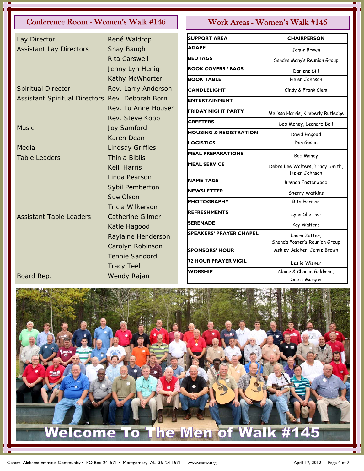## Conference Room - Women's Walk #146 | | | Work Areas - Women's Walk #146

| Lay Director                                    | René Waldrop            |
|-------------------------------------------------|-------------------------|
| <b>Assistant Lay Directors</b>                  | Shay Baugh              |
|                                                 | <b>Rita Carswell</b>    |
|                                                 | Jenny Lyn Henig         |
|                                                 | Kathy McWhorter         |
| <b>Spiritual Director</b>                       | Rev. Larry Anderson     |
| Assistant Spiritual Directors Rev. Deborah Born |                         |
|                                                 | Rev. Lu Anne Houser     |
|                                                 | Rev. Steve Kopp         |
| <b>Music</b>                                    | <b>Joy Samford</b>      |
|                                                 | <b>Karen Dean</b>       |
| Media                                           | <b>Lindsay Griffies</b> |
| <b>Table Leaders</b>                            | <b>Thinia Biblis</b>    |
|                                                 | Kelli Harris            |
|                                                 | <b>Linda Pearson</b>    |
|                                                 | <b>Sybil Pemberton</b>  |
|                                                 | Sue Olson               |
|                                                 | <b>Tricia Wilkerson</b> |
| <b>Assistant Table Leaders</b>                  | <b>Catherine Gilmer</b> |
|                                                 | Katie Hagood            |
|                                                 | Raylaine Henderson      |
|                                                 | Carolyn Robinson        |
|                                                 | <b>Tennie Sandord</b>   |
|                                                 | <b>Tracy Teel</b>       |
| Board Rep.                                      | Wendy Rajan             |

| <b>SUPPORT AREA</b>               | <b>CHAIRPERSON</b>                               |  |
|-----------------------------------|--------------------------------------------------|--|
| <b>AGAPE</b>                      | Jamie Brown                                      |  |
| <b>BEDTAGS</b>                    | Sandra Many's Reunion Group                      |  |
| <b>BOOK COVERS / BAGS</b>         | Darlene Gill                                     |  |
| <b>BOOK TABLE</b>                 | Helen Johnson                                    |  |
| <b>CANDLELIGHT</b>                | Cindy & Frank Clem                               |  |
| <b>ENTERTAINMENT</b>              |                                                  |  |
| <b>FRIDAY NIGHT PARTY</b>         | Melissa Harris, Kimberly Rutledge                |  |
| <b>GREETERS</b>                   | Bob Money, Leonard Bell                          |  |
| <b>HOUSING &amp; REGISTRATION</b> | David Hagood                                     |  |
| <b>LOGISTICS</b>                  | Dan Goslin                                       |  |
| <b>MEAL PREPARATIONS</b>          | Bob Money                                        |  |
| <b>MEAL SERVICE</b>               | Debra Lee Walters, Tracy Smith,<br>Helen Johnson |  |
| <b>NAME TAGS</b>                  | Brenda Fasterwood                                |  |
| NEWSLETTER                        | Sherry Watkins                                   |  |
| <b>PHOTOGRAPHY</b>                | Rita Harman                                      |  |
| REFRESHMENTS                      | Lynn Sherrer                                     |  |
| <b>SERENADE</b>                   | Kay Walters                                      |  |
| <b>SPEAKERS' PRAYER CHAPEL</b>    | Laura Zutter,                                    |  |
|                                   | Shanda Foster's Reunion Group                    |  |
| <b>SPONSORS' HOUR</b>             | Ashley Belcher, Jamie Brown                      |  |
| <b>72 HOUR PRAYER VIGIL</b>       | Leslie Wisner                                    |  |
| <b>WORSHIP</b>                    | Claire & Charlie Goldman,                        |  |
|                                   | Scott Morgan                                     |  |

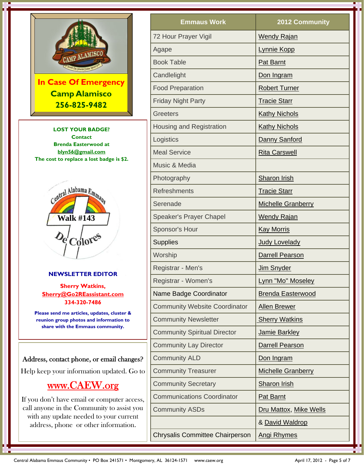

If you don't have email or computer access, call anyone in the Community to assist you with any update needed to your current address, phone or other information.

| <b>Emmaus Work</b>                                      | 2012 Community            |  |
|---------------------------------------------------------|---------------------------|--|
| 72 Hour Prayer Vigil                                    | <b>Wendy Rajan</b>        |  |
| Agape                                                   | <b>Lynnie Kopp</b>        |  |
| <b>Book Table</b>                                       | Pat Barnt                 |  |
| Candlelight                                             | Don Ingram                |  |
| <b>Food Preparation</b>                                 | <b>Robert Turner</b>      |  |
| <b>Friday Night Party</b>                               | <b>Tracie Starr</b>       |  |
| <b>Greeters</b>                                         | <b>Kathy Nichols</b>      |  |
| <b>Housing and Registration</b>                         | <b>Kathy Nichols</b>      |  |
| Logistics                                               | Danny Sanford             |  |
| <b>Meal Service</b>                                     | <b>Rita Carswell</b>      |  |
| Music & Media                                           |                           |  |
| Photography                                             | Sharon Irish              |  |
| <b>Refreshments</b><br><b>Tracie Starr</b>              |                           |  |
| Serenade                                                | <b>Michelle Granberry</b> |  |
| <b>Speaker's Prayer Chapel</b>                          | <b>Wendy Rajan</b>        |  |
| Sponsor's Hour                                          | <b>Kay Morris</b>         |  |
| <b>Supplies</b>                                         | <b>Judy Lovelady</b>      |  |
| Worship                                                 | <b>Darrell Pearson</b>    |  |
| Registrar - Men's<br><b>Jim Snyder</b>                  |                           |  |
| Registrar - Women's                                     | Lynn "Mo" Moseley         |  |
| Name Badge Coordinator                                  | <b>Brenda Easterwood</b>  |  |
| <b>Community Website Coordinator</b>                    | <b>Allen Brewer</b>       |  |
| <b>Community Newsletter</b>                             | <b>Sherry Watkins</b>     |  |
| <b>Community Spiritual Director</b>                     | Jamie Barkley             |  |
| <b>Community Lay Director</b>                           | <b>Darrell Pearson</b>    |  |
| <b>Community ALD</b>                                    | Don Ingram                |  |
| <b>Community Treasurer</b><br><b>Michelle Granberry</b> |                           |  |
| <b>Community Secretary</b>                              | <b>Sharon Irish</b>       |  |
| <b>Communications Coordinator</b>                       | <b>Pat Barnt</b>          |  |
| <b>Community ASDs</b>                                   | Dru Mattox, Mike Wells    |  |
|                                                         | & David Waldrop           |  |
| <b>Chrysalis Committee Chairperson</b>                  | <b>Angi Rhymes</b>        |  |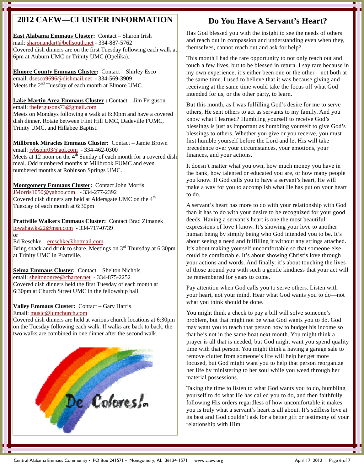# **2012 CAEW—CLUSTER INFORMATION**

**East Alabama Emmaus Cluster:** Contact – Sharon Irish mail: sharonandart@bellsouth.net - 334-887-5762 Covered dish dinners are on the first Tuesday following each walk at 6pm at Auburn UMC or Trinity UMC (Opelika).

**Elmore County Emmaus Cluster:** Contact – Shirley Esco email: dsesco9696@dishmail.net - 334-569-3909 Meets the  $2<sup>nd</sup>$  Tuesday of each month at Elmore UMC.

**Lake Martin Area Emmaus Cluster :** Contact – Jim Ferguson email: thefergusons73@gmail.com Meets on Mondays following a walk at 6:30pm and have a covered dish dinner. Rotate between Flint Hill UMC, Dadeville FUMC, Trinity UMC, and Hillabee Baptist.

**Millbrook Miracles Emmaus Cluster:** Contact – Jamie Brown email: jybsphr03@aol.com - 334-462-0300 Meets at 12 noon on the  $4<sup>th</sup>$  Sunday of each month for a covered dish meal. Odd numbered months at Millbrook FUMC and even numbered months at Robinson Springs UMC.

**Montgomery Emmaus Cluster:** Contact John Morris JMorris1050@yahoo.com - 334-277-2392 Covered dish dinners are held at Aldersgate UMC on the  $4<sup>th</sup>$ Tuesday of each month at 6:30pm

**Prattville Walkers Emmaus Cluster:** Contact Brad Zimanek iowahawks22@msn.com - 334-717-0739 or

Ed Reschke – ereschke@hotmail.com Bring snack and drink to share. Meetings on  $3<sup>rd</sup>$  Thursday at 6:30pm at Trinity UMC in Prattville.

**Selma Emmaus Cluster:** Contact – Shelton Nichols email: sheltononree@charter.net - 334-875-2252 Covered dish dinners held the first Tuesday of each month at 6:30pm at Church Street UMC in the fellowship hall.

### **Valley Emmaus Cluster:** Contact – Gary Harris Email: music@lumchurch.com

Covered dish dinners are held at various church locations at 6:30pm on the Tuesday following each walk. If walks are back to back, the two walks are combined in one dinner after the second walk.



## **Do You Have A Servant's Heart?**

Has God blessed you with the insight to see the needs of others and reach out in compassion and understanding even when they, themselves, cannot reach out and ask for help?

This month I had the rare opportunity to not only reach out and touch a few lives, but to be blessed in return. I say rare because in my own experience, it's either been one or the other—not both at the same time. I used to believe that it was because giving and receiving at the same time would take the focus off what God intended for us, or the other party, to learn.

But this month, as I was fulfilling God's desire for me to serve others, He sent others to act as servants to my family. And you know what I learned? Humbling yourself to receive God's blessings is just as important as humbling yourself to give God's blessings to others. Whether you give or you receive, you must first humble yourself before the Lord and let His will take precedence over your circumstances, your emotions, your finances, and your actions.

It doesn't matter what you own, how much money you have in the bank, how talented or educated you are, or how many people you know. If God calls you to have a servant's heart, He will make a way for you to accomplish what He has put on your heart to do.

A servant's heart has more to do with your relationship with God than it has to do with your desire to be recognized for your good deeds. Having a servant's heart is one the most beautiful expressions of love I know. It's showing your love to another human being by simply being who God intended you to be. It's about seeing a need and fulfilling it without any strings attached. It's about making yourself uncomfortable so that someone else could be comfortable. It's about showing Christ's love through your actions and words. And finally, it's about touching the lives of those around you with such a gentle kindness that your act will be remembered for years to come.

Pay attention when God calls you to serve others. Listen with your heart, not your mind. Hear what God wants you to do—not what you think should be done.

You might think a check to pay a bill will solve someone's problem, but that might not be what God wants you to do. God may want you to teach that person how to budget his income so that he's not in the same boat next month. You might think a prayer is all that is needed, but God might want you spend quality time with that person. You might think a having a garage sale to remove clutter from someone's life will help her get more focused, but God might want you to help that person reorganize her life by ministering to her soul while you weed through her material possessions.

Taking the time to listen to what God wants you to do, humbling yourself to do what He has called you to do, and then faithfully following His orders regardless of how uncomfortable it makes you is truly what a servant's heart is all about. It's selfless love at its best and God couldn't ask for a better gift or testimony of your relationship with Him.